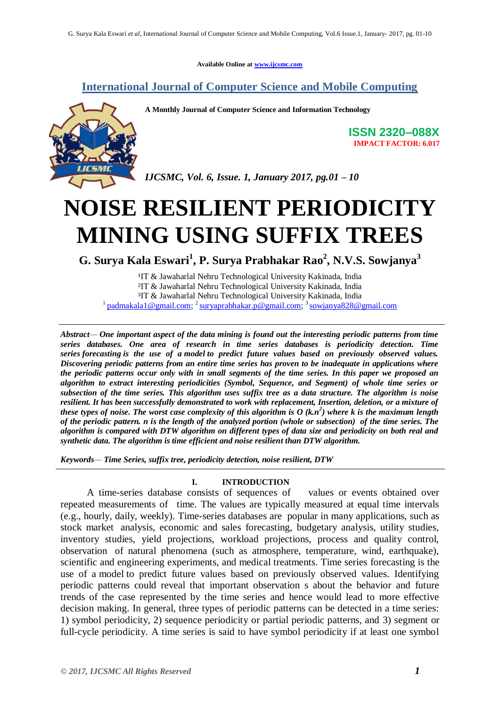**Available Online at www.ijcsmc.com**

## **International Journal of Computer Science and Mobile Computing**



**A Monthly Journal of Computer Science and Information Technology**

**ISSN 2320–088X IMPACT FACTOR: 6.017**

*IJCSMC, Vol. 6, Issue. 1, January 2017, pg.01 – 10*

# **NOISE RESILIENT PERIODICITY MINING USING SUFFIX TREES**

**G. Surya Kala Eswari<sup>1</sup> , P. Surya Prabhakar Rao<sup>2</sup> , N.V.S. Sowjanya<sup>3</sup>**

<sup>1</sup>IT & Jawaharlal Nehru Technological University Kakinada, India ²IT & Jawaharlal Nehru Technological University Kakinada, India ³IT & Jawaharlal Nehru Technological University Kakinada, India <sup>1</sup> padmakala 1 @gmail.com; <sup>2</sup> suryaprabhakar.p @gmail.com; <sup>3</sup> sowjanya828 @gmail.com

*Abstract— One important aspect of the data mining is found out the interesting periodic patterns from time series databases. One area of research in time series databases is periodicity detection. Time series forecasting is the use of a model to predict future values based on previously observed values. Discovering periodic patterns from an entire time series has proven to be inadequate in applications where the periodic patterns occur only with in small segments of the time series. In this paper we proposed an algorithm to extract interesting periodicities (Symbol, Sequence, and Segment) of whole time series or subsection of the time series. This algorithm uses suffix tree as a data structure. The algorithm is noise resilient. It has been successfully demonstrated to work with replacement, Insertion, deletion, or a mixture of these types of noise. The worst case complexity of this algorithm is*  $O(k.n^2)$  *where k is the maximum length of the periodic pattern. n is the length of the analyzed portion (whole or subsection) of the time series. The algorithm is compared with DTW algorithm on different types of data size and periodicity on both real and synthetic data. The algorithm is time efficient and noise resilient than DTW algorithm.*

*Keywords— Time Series, suffix tree, periodicity detection, noise resilient, DTW*

## **I. INTRODUCTION**

A time-series database consists of sequences of values or events obtained over repeated measurements of time. The values are typically measured at equal time intervals (e.g., hourly, daily, weekly). Time-series databases are popular in many applications, such as stock market analysis, economic and sales forecasting, budgetary analysis, utility studies, inventory studies, yield projections, workload projections, process and quality control, observation of natural phenomena (such as atmosphere, temperature, wind, earthquake), scientific and engineering experiments, and medical treatments. Time series forecasting is the use of a model to predict future values based on previously observed values. Identifying periodic patterns could reveal that important observation s about the behavior and future trends of the case represented by the time series and hence would lead to more effective decision making. In general, three types of periodic patterns can be detected in a time series: 1) symbol periodicity, 2) sequence periodicity or partial periodic patterns, and 3) segment or full-cycle periodicity. A time series is said to have symbol periodicity if at least one symbol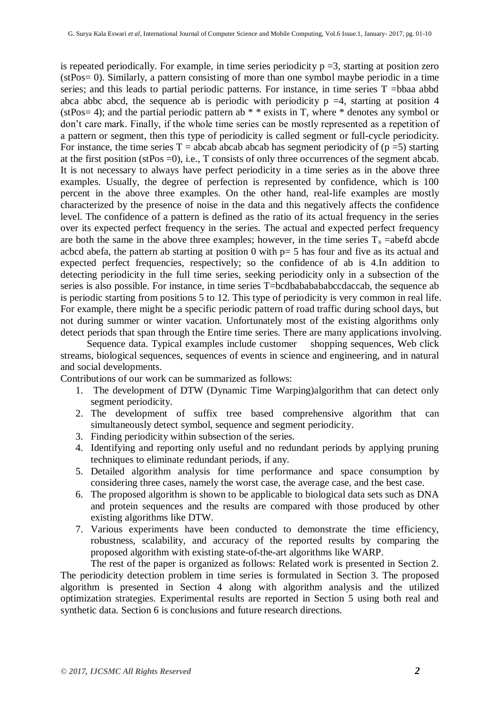is repeated periodically. For example, in time series periodicity  $p = 3$ , starting at position zero (stPos= 0). Similarly, a pattern consisting of more than one symbol maybe periodic in a time series; and this leads to partial periodic patterns. For instance, in time series T =bbaa abbd abca abbc abcd, the sequence ab is periodic with periodicity  $p = 4$ , starting at position 4 (stPos= 4); and the partial periodic pattern ab  $* *$  exists in T, where  $*$  denotes any symbol or don't care mark. Finally, if the whole time series can be mostly represented as a repetition of a pattern or segment, then this type of periodicity is called segment or full-cycle periodicity. For instance, the time series  $T = abcab$  abcab abcab has segment periodicity of (p =5) starting at the first position (stPos =0), i.e., T consists of only three occurrences of the segment abcab. It is not necessary to always have perfect periodicity in a time series as in the above three examples. Usually, the degree of perfection is represented by confidence, which is 100 percent in the above three examples. On the other hand, real-life examples are mostly characterized by the presence of noise in the data and this negatively affects the confidence level. The confidence of a pattern is defined as the ratio of its actual frequency in the series over its expected perfect frequency in the series. The actual and expected perfect frequency are both the same in the above three examples; however, in the time series  $T_x$  =abefd abcde acbcd abefa, the pattern ab starting at position 0 with p= 5 has four and five as its actual and expected perfect frequencies, respectively; so the confidence of ab is 4.In addition to detecting periodicity in the full time series, seeking periodicity only in a subsection of the series is also possible. For instance, in time series T=bcdbababababccdaccab, the sequence ab is periodic starting from positions 5 to 12. This type of periodicity is very common in real life. For example, there might be a specific periodic pattern of road traffic during school days, but not during summer or winter vacation. Unfortunately most of the existing algorithms only detect periods that span through the Entire time series. There are many applications involving.

Sequence data. Typical examples include customer shopping sequences, Web click streams, biological sequences, sequences of events in science and engineering, and in natural and social developments.

Contributions of our work can be summarized as follows:

- 1. The development of DTW (Dynamic Time Warping)algorithm that can detect only segment periodicity.
- 2. The development of suffix tree based comprehensive algorithm that can simultaneously detect symbol, sequence and segment periodicity.
- 3. Finding periodicity within subsection of the series.
- 4. Identifying and reporting only useful and no redundant periods by applying pruning techniques to eliminate redundant periods, if any.
- 5. Detailed algorithm analysis for time performance and space consumption by considering three cases, namely the worst case, the average case, and the best case.
- 6. The proposed algorithm is shown to be applicable to biological data sets such as DNA and protein sequences and the results are compared with those produced by other existing algorithms like DTW.
- 7. Various experiments have been conducted to demonstrate the time efficiency, robustness, scalability, and accuracy of the reported results by comparing the proposed algorithm with existing state-of-the-art algorithms like WARP.

The rest of the paper is organized as follows: Related work is presented in Section 2. The periodicity detection problem in time series is formulated in Section 3. The proposed algorithm is presented in Section 4 along with algorithm analysis and the utilized optimization strategies. Experimental results are reported in Section 5 using both real and synthetic data. Section 6 is conclusions and future research directions.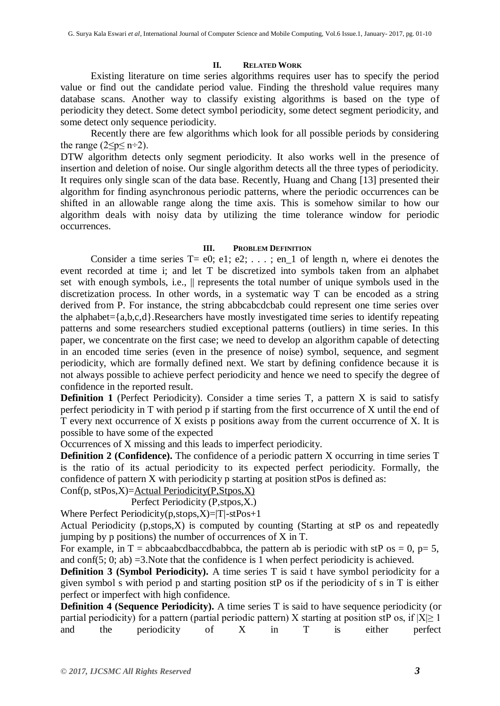### **II. RELATED WORK**

Existing literature on time series algorithms requires user has to specify the period value or find out the candidate period value. Finding the threshold value requires many database scans. Another way to classify existing algorithms is based on the type of periodicity they detect. Some detect symbol periodicity, some detect segment periodicity, and some detect only sequence periodicity.

Recently there are few algorithms which look for all possible periods by considering the range  $(2 \le p \le n \div 2)$ .

DTW algorithm detects only segment periodicity. It also works well in the presence of insertion and deletion of noise. Our single algorithm detects all the three types of periodicity. It requires only single scan of the data base. Recently, Huang and Chang [13] presented their algorithm for finding asynchronous periodic patterns, where the periodic occurrences can be shifted in an allowable range along the time axis. This is somehow similar to how our algorithm deals with noisy data by utilizing the time tolerance window for periodic occurrences.

### **III. PROBLEM DEFINITION**

Consider a time series  $T = e0$ ; e1; e2; . . . ; en 1 of length n, where ei denotes the event recorded at time i; and let T be discretized into symbols taken from an alphabet set with enough symbols, i.e.,  $\parallel$  represents the total number of unique symbols used in the discretization process. In other words, in a systematic way T can be encoded as a string derived from P. For instance, the string abbcabcdcbab could represent one time series over the alphabet= $\{a,b,c,d\}$ .Researchers have mostly investigated time series to identify repeating patterns and some researchers studied exceptional patterns (outliers) in time series. In this paper, we concentrate on the first case; we need to develop an algorithm capable of detecting in an encoded time series (even in the presence of noise) symbol, sequence, and segment periodicity, which are formally defined next. We start by defining confidence because it is not always possible to achieve perfect periodicity and hence we need to specify the degree of confidence in the reported result.

**Definition 1** (Perfect Periodicity). Consider a time series T, a pattern X is said to satisfy perfect periodicity in T with period p if starting from the first occurrence of X until the end of T every next occurrence of  $\overline{X}$  exists p positions away from the current occurrence of  $\overline{X}$ . It is possible to have some of the expected

Occurrences of X missing and this leads to imperfect periodicity.

**Definition 2 (Confidence).** The confidence of a periodic pattern X occurring in time series T is the ratio of its actual periodicity to its expected perfect periodicity. Formally, the confidence of pattern X with periodicity p starting at position stPos is defined as:

Conf(p, stPos,X)=Actual Periodicity(P,Stpos,X)

Perfect Periodicity (P,stpos,X.)

Where Perfect Periodicity(p,stops,X)=|T|-stPos+1

Actual Periodicity (p,stops,X) is computed by counting (Starting at stP os and repeatedly jumping by p positions) the number of occurrences of X in T.

For example, in T = abbcaabcdbaccdbabbca, the pattern ab is periodic with stP os = 0, p= 5, and conf $(5, 0; ab) = 3$ . Note that the confidence is 1 when perfect periodicity is achieved.

**Definition 3 (Symbol Periodicity).** A time series T is said t have symbol periodicity for a given symbol s with period p and starting position stP os if the periodicity of s in T is either perfect or imperfect with high confidence.

**Definition 4 (Sequence Periodicity).** A time series T is said to have sequence periodicity (or partial periodicity) for a pattern (partial periodic pattern) X starting at position stP os, if  $|X|\geq 1$ and the periodicity of X in T is either perfect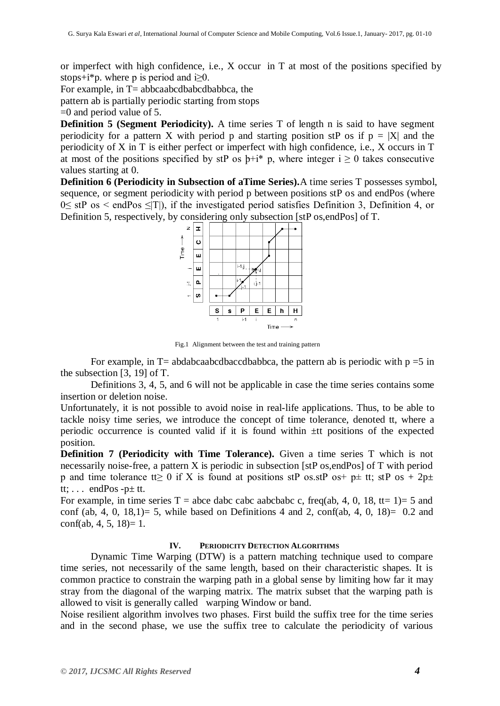or imperfect with high confidence, i.e., X occur in T at most of the positions specified by stops+i\*p. where p is period and i $\geq 0$ .

For example, in  $T=$  abbcaabcdbabcdbabbca, the

pattern ab is partially periodic starting from stops

 $=0$  and period value of 5.

**Definition 5 (Segment Periodicity).** A time series T of length n is said to have segment periodicity for a pattern X with period p and starting position stP os if  $p = |X|$  and the periodicity of X in T is either perfect or imperfect with high confidence, i.e., X occurs in T at most of the positions specified by stP os  $b+i^*$  p, where integer  $i \ge 0$  takes consecutive values starting at 0.

**Definition 6 (Periodicity in Subsection of aTime Series).**A time series T possesses symbol, sequence, or segment periodicity with period p between positions stP os and endPos (where 0≤ stP os < endPos ≤|T|), if the investigated period satisfies Definition 3, Definition 4, or Definition 5, respectively, by considering only subsection [stP os,endPos] of T.



Fig.1 Alignment between the test and training pattern

For example, in  $T=$  abdabcaabcdbaccdbabbca, the pattern ab is periodic with  $p = 5$  in the subsection [3, 19] of T.

Definitions 3, 4, 5, and 6 will not be applicable in case the time series contains some insertion or deletion noise.

Unfortunately, it is not possible to avoid noise in real-life applications. Thus, to be able to tackle noisy time series, we introduce the concept of time tolerance, denoted tt, where a periodic occurrence is counted valid if it is found within ±tt positions of the expected position.

**Definition 7 (Periodicity with Time Tolerance).** Given a time series T which is not necessarily noise-free, a pattern X is periodic in subsection [stP os,endPos] of T with period p and time tolerance tt≥ 0 if X is found at positions stP os.stP os+ p± tt; stP os + 2p± tt;  $\ldots$  endPos -p $\pm$  tt.

For example, in time series T = abce dabc cabc aabcbabc c, freq(ab, 4, 0, 18, tt= 1)= 5 and conf (ab, 4, 0, 18,1) = 5, while based on Definitions 4 and 2, conf(ab, 4, 0, 18) = 0.2 and  $conf(ab, 4, 5, 18)=1.$ 

#### **IV. PERIODICITY DETECTION ALGORITHMS**

Dynamic Time Warping (DTW) is a pattern matching technique used to compare time series, not necessarily of the same length, based on their characteristic shapes. It is common practice to constrain the warping path in a global sense by limiting how far it may stray from the diagonal of the warping matrix. The matrix subset that the warping path is allowed to visit is generally called warping Window or band.

Noise resilient algorithm involves two phases. First build the suffix tree for the time series and in the second phase, we use the suffix tree to calculate the periodicity of various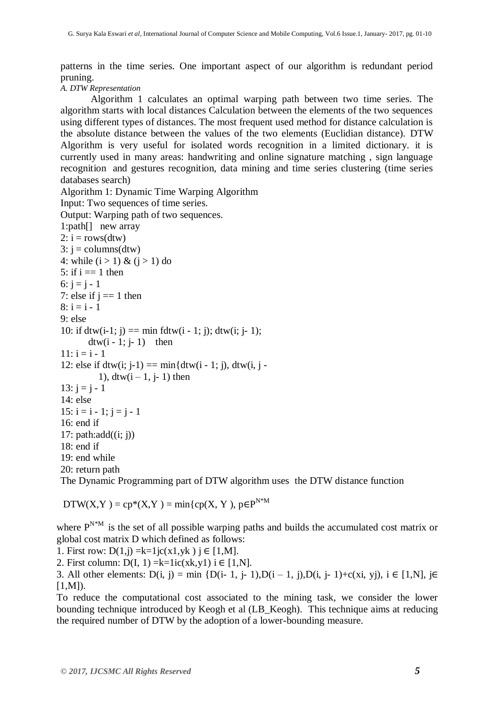patterns in the time series. One important aspect of our algorithm is redundant period pruning.

## *A. DTW Representation*

Algorithm 1 calculates an optimal warping path between two time series. The algorithm starts with local distances Calculation between the elements of the two sequences using different types of distances. The most frequent used method for distance calculation is the absolute distance between the values of the two elements (Euclidian distance). DTW Algorithm is very useful for isolated words recognition in a limited dictionary. it is currently used in many areas: handwriting and online signature matching , sign language recognition and gestures recognition, data mining and time series clustering (time series databases search)

Algorithm 1: Dynamic Time Warping Algorithm Input: Two sequences of time series. Output: Warping path of two sequences.

```
1:path[] new array
2: i = rows(dtw)3: i = \text{columns}(\text{dtw})4: while (i > 1) & (i > 1) do
5: if i == 1 then
6: i = i - 17: else if j == 1 then
8: i = i - 19: else
10: if dtw(i-1; j) == min fdtw(i - 1; j); dtw(i; j- 1);
       dtw(i - 1; j-1) then
11: i = i - 112: else if dtw(i; i-1) == min{dtw(i - 1; j), dtw(i, j -
          1), dtw(i - 1, i-1) then
13: i = i - 114: else
15: i = i - 1; j = j - 116: end if
17: path:add((i; i))18: end if
19 \cdot end while
20: return path
```
The Dynamic Programming part of DTW algorithm uses the DTW distance function

 $DTW(X, Y) = cp*(X, Y) = min\{cp(X, Y), p \in P^{N^*M}\}$ 

where  $P^{N*M}$  is the set of all possible warping paths and builds the accumulated cost matrix or global cost matrix D which defined as follows:

1. First row:  $D(1,i) = k=1$  jc(x1,yk)  $i \in [1,M]$ .

2. First column:  $D(I, 1) = k=1ic(xk,y1)$  i  $\in [1,N]$ .

3. All other elements: D(i, j) = min {D(i- 1, j- 1),D(i – 1, j),D(i, j- 1)+c(xi, yj), i ∈ [1,N], j∈  $[1, M]$ ).

To reduce the computational cost associated to the mining task, we consider the lower bounding technique introduced by Keogh et al (LB\_Keogh). This technique aims at reducing the required number of DTW by the adoption of a lower-bounding measure.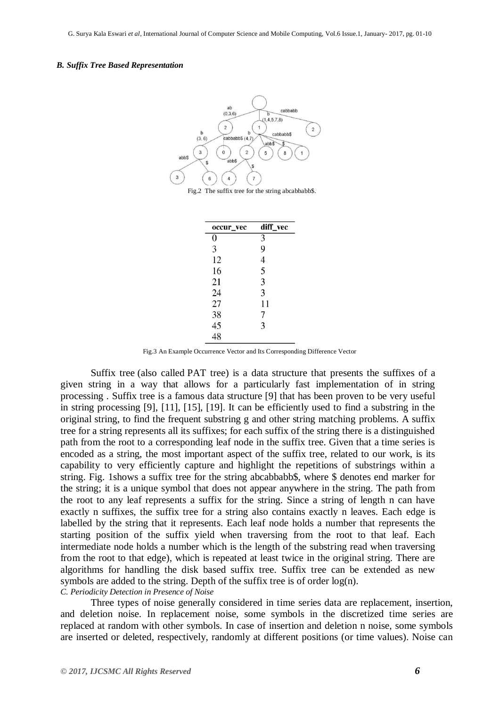#### *B. Suffix Tree Based Representation*



Fig.2 The suffix tree for the string abcabbabb\$.

| occur_vec | diff_vec       |
|-----------|----------------|
| 0         | $\overline{3}$ |
| 3         | 9              |
| 12        | 4              |
| 16        | 5              |
| 21        | 3              |
| 24        | 3              |
| 27        | 11             |
| 38        | 7              |
| 45        | 3              |
| 48        |                |

Fig.3 An Example Occurrence Vector and Its Corresponding Difference Vector

Suffix tree (also called PAT tree) is a data structure that presents the suffixes of a given string in a way that allows for a particularly fast implementation of in string processing . Suffix tree is a famous data structure [9] that has been proven to be very useful in string processing [9], [11], [15], [19]. It can be efficiently used to find a substring in the original string, to find the frequent substring g and other string matching problems. A suffix tree for a string represents all its suffixes; for each suffix of the string there is a distinguished path from the root to a corresponding leaf node in the suffix tree. Given that a time series is encoded as a string, the most important aspect of the suffix tree, related to our work, is its capability to very efficiently capture and highlight the repetitions of substrings within a string. Fig. 1shows a suffix tree for the string abcabbabb\$, where \$ denotes end marker for the string; it is a unique symbol that does not appear anywhere in the string. The path from the root to any leaf represents a suffix for the string. Since a string of length n can have exactly n suffixes, the suffix tree for a string also contains exactly n leaves. Each edge is labelled by the string that it represents. Each leaf node holds a number that represents the starting position of the suffix yield when traversing from the root to that leaf. Each intermediate node holds a number which is the length of the substring read when traversing from the root to that edge), which is repeated at least twice in the original string. There are algorithms for handling the disk based suffix tree. Suffix tree can be extended as new symbols are added to the string. Depth of the suffix tree is of order log(n).

*C. Periodicity Detection in Presence of Noise*

Three types of noise generally considered in time series data are replacement, insertion, and deletion noise. In replacement noise, some symbols in the discretized time series are replaced at random with other symbols. In case of insertion and deletion n noise, some symbols are inserted or deleted, respectively, randomly at different positions (or time values). Noise can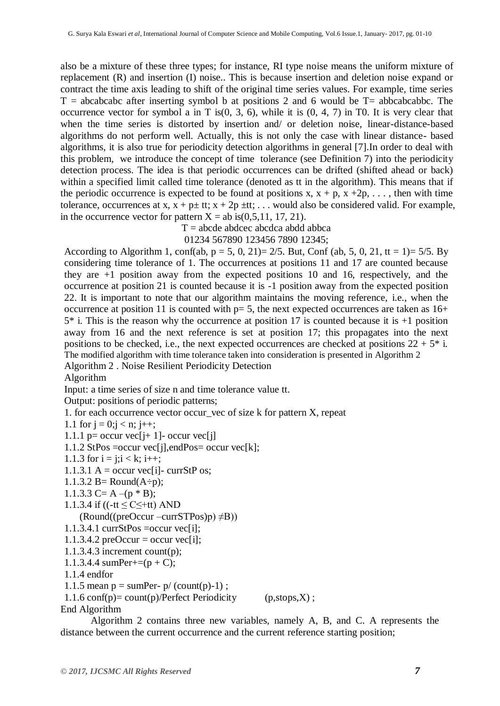also be a mixture of these three types; for instance, RI type noise means the uniform mixture of replacement (R) and insertion (I) noise.. This is because insertion and deletion noise expand or contract the time axis leading to shift of the original time series values. For example, time series  $T = abcabcabc$  after inserting symbol b at positions 2 and 6 would be  $T = abbcabcabbc$ . The occurrence vector for symbol a in T is $(0, 3, 6)$ , while it is  $(0, 4, 7)$  in T0. It is very clear that when the time series is distorted by insertion and/ or deletion noise, linear-distance-based algorithms do not perform well. Actually, this is not only the case with linear distance- based algorithms, it is also true for periodicity detection algorithms in general [7].In order to deal with this problem, we introduce the concept of time tolerance (see Definition 7) into the periodicity detection process. The idea is that periodic occurrences can be drifted (shifted ahead or back) within a specified limit called time tolerance (denoted as tt in the algorithm). This means that if the periodic occurrence is expected to be found at positions x,  $x + p$ ,  $x + 2p$ , ..., then with time tolerance, occurrences at x,  $x + p \pm tt$ ;  $x + 2p \pm tt$ ; ... would also be considered valid. For example, in the occurrence vector for pattern  $X = ab$  is  $(0.5, 11, 17, 21)$ .

 $T = abcde abdece abedca abdd abbea$ 01234 567890 123456 7890 12345;

According to Algorithm 1, conf(ab,  $p = 5$ , 0, 21)= 2/5. But, Conf (ab, 5, 0, 21, tt = 1)= 5/5. By considering time tolerance of 1. The occurrences at positions 11 and 17 are counted because they are +1 position away from the expected positions 10 and 16, respectively, and the occurrence at position 21 is counted because it is -1 position away from the expected position 22. It is important to note that our algorithm maintains the moving reference, i.e., when the occurrence at position 11 is counted with  $p=5$ , the next expected occurrences are taken as  $16+$  $5*$  i. This is the reason why the occurrence at position 17 is counted because it is  $+1$  position away from 16 and the next reference is set at position 17; this propagates into the next positions to be checked, i.e., the next expected occurrences are checked at positions  $22 + 5^*$  i. The modified algorithm with time tolerance taken into consideration is presented in Algorithm 2

Algorithm 2 . Noise Resilient Periodicity Detection

Algorithm

Input: a time series of size n and time tolerance value tt.

Output: positions of periodic patterns;

1. for each occurrence vector occur\_vec of size k for pattern X, repeat

1.1 for  $j = 0; j < n; j++)$ ;

```
1.1.1 p= occur vec[j+ 1]- occur vec[j]
```

```
1.1.2 StPos =occur vec[j],endPos= occur vec[k];
```
- 1.1.3 for  $i = j; i < k; i++)$ ;
- 1.1.3.1 A = occur vec[i]- currStP os;
- 1.1.3.2 B= Round $(A \div p)$ ;
- 1.1.3.3 C= A –( $p * B$ );
- 1.1.3.4 if ( $(-tt \leq C \leq +tt)$ ) AND

 $(Round((preOccur –currSTPos)p) \neq B))$ 

```
1.1.3.4.1 currStPos =occur vec[i];
```

```
1.1.3.4.2 preOccur = occur vec[i];
```
1.1.3.4.3 increment count(p);

```
1.1.3.4.4 sumPer+=(p + C);
```
1.1.4 endfor

```
1.1.5 mean p = \text{sumPer- p} (count(p)-1);
```

```
1.1.6 conf(p)= count(p)/Perfect Periodicity (p,stops,X);
End Algorithm
```
Algorithm 2 contains three new variables, namely A, B, and C. A represents the distance between the current occurrence and the current reference starting position;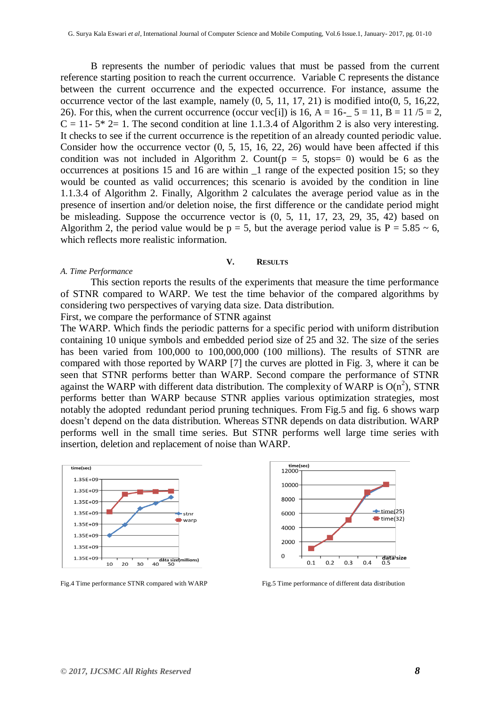B represents the number of periodic values that must be passed from the current reference starting position to reach the current occurrence. Variable C represents the distance between the current occurrence and the expected occurrence. For instance, assume the occurrence vector of the last example, namely  $(0, 5, 11, 17, 21)$  is modified into $(0, 5, 16, 22, 16, 22)$ 26). For this, when the current occurrence (occur vec[i]) is 16, A =  $16-$  5 = 11, B = 11 /5 = 2,  $C = 11 - 5* 2 = 1$ . The second condition at line 1.1.3.4 of Algorithm 2 is also very interesting. It checks to see if the current occurrence is the repetition of an already counted periodic value. Consider how the occurrence vector (0, 5, 15, 16, 22, 26) would have been affected if this condition was not included in Algorithm 2. Count( $p = 5$ , stops= 0) would be 6 as the occurrences at positions 15 and 16 are within \_1 range of the expected position 15; so they would be counted as valid occurrences; this scenario is avoided by the condition in line 1.1.3.4 of Algorithm 2. Finally, Algorithm 2 calculates the average period value as in the presence of insertion and/or deletion noise, the first difference or the candidate period might be misleading. Suppose the occurrence vector is (0, 5, 11, 17, 23, 29, 35, 42) based on Algorithm 2, the period value would be  $p = 5$ , but the average period value is  $P = 5.85 \sim 6$ , which reflects more realistic information.

#### **V. RESULTS**

#### *A. Time Performance*

This section reports the results of the experiments that measure the time performance of STNR compared to WARP. We test the time behavior of the compared algorithms by considering two perspectives of varying data size. Data distribution. First, we compare the performance of STNR against

The WARP. Which finds the periodic patterns for a specific period with uniform distribution containing 10 unique symbols and embedded period size of 25 and 32. The size of the series has been varied from 100,000 to 100,000,000 (100 millions). The results of STNR are compared with those reported by WARP [7] the curves are plotted in Fig. 3, where it can be seen that STNR performs better than WARP. Second compare the performance of STNR against the WARP with different data distribution. The complexity of WARP is  $O(n^2)$ , STNR performs better than WARP because STNR applies various optimization strategies, most notably the adopted redundant period pruning techniques. From Fig.5 and fig. 6 shows warp doesn't depend on the data distribution. Whereas STNR depends on data distribution. WARP performs well in the small time series. But STNR performs well large time series with insertion, deletion and replacement of noise than WARP.





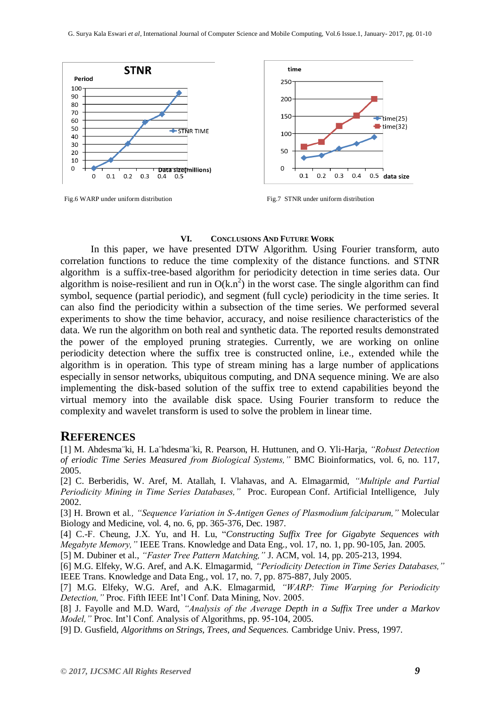



Fig.6 WARP under uniform distribution Fig.7 STNR under uniform distribution

#### **VI. CONCLUSIONS AND FUTURE WORK**

In this paper, we have presented DTW Algorithm. Using Fourier transform, auto correlation functions to reduce the time complexity of the distance functions. and STNR algorithm is a suffix-tree-based algorithm for periodicity detection in time series data. Our algorithm is noise-resilient and run in  $O(k.n^2)$  in the worst case. The single algorithm can find symbol, sequence (partial periodic), and segment (full cycle) periodicity in the time series. It can also find the periodicity within a subsection of the time series. We performed several experiments to show the time behavior, accuracy, and noise resilience characteristics of the data. We run the algorithm on both real and synthetic data. The reported results demonstrated the power of the employed pruning strategies. Currently, we are working on online periodicity detection where the suffix tree is constructed online, i.e., extended while the algorithm is in operation. This type of stream mining has a large number of applications especially in sensor networks, ubiquitous computing, and DNA sequence mining. We are also implementing the disk-based solution of the suffix tree to extend capabilities beyond the virtual memory into the available disk space. Using Fourier transform to reduce the complexity and wavelet transform is used to solve the problem in linear time.

## **REFERENCES**

[1] M. Ahdesma¨ki, H. La¨hdesma¨ki, R. Pearson, H. Huttunen, and O. Yli-Harja, *"Robust Detection of eriodic Time Series Measured from Biological Systems,"* BMC Bioinformatics, vol. 6, no. 117, 2005.

[2] C. Berberidis, W. Aref, M. Atallah, I. Vlahavas, and A. Elmagarmid, *"Multiple and Partial Periodicity Mining in Time Series Databases,"* Proc. European Conf. Artificial Intelligence, July 2002.

[3] H. Brown et al*., "Sequence Variation in S-Antigen Genes of Plasmodium falciparum,"* Molecular Biology and Medicine, vol. 4, no. 6, pp. 365-376, Dec. 1987.

[4] C.-F. Cheung, J.X. Yu, and H. Lu, "*Constructing Suffix Tree for Gigabyte Sequences with Megabyte Memory,"* IEEE Trans. Knowledge and Data Eng., vol. 17, no. 1, pp. 90-105, Jan. 2005.

[5] M. Dubiner et al., *"Faster Tree Pattern Matching,"* J. ACM, vol. 14, pp. 205-213, 1994.

[6] M.G. Elfeky, W.G. Aref, and A.K. Elmagarmid, *"Periodicity Detection in Time Series Databases,"* IEEE Trans. Knowledge and Data Eng., vol. 17, no. 7, pp. 875-887, July 2005.

[7] M.G. Elfeky, W.G. Aref, and A.K. Elmagarmid, *"WARP: Time Warping for Periodicity Detection,"* Proc. Fifth IEEE Int'l Conf. Data Mining, Nov. 2005.

[8] J. Fayolle and M.D. Ward, *"Analysis of the Average Depth in a Suffix Tree under a Markov Model,"* Proc. Int'l Conf. Analysis of Algorithms, pp. 95-104, 2005.

[9] D. Gusfield, *Algorithms on Strings, Trees, and Sequences.* Cambridge Univ. Press, 1997.